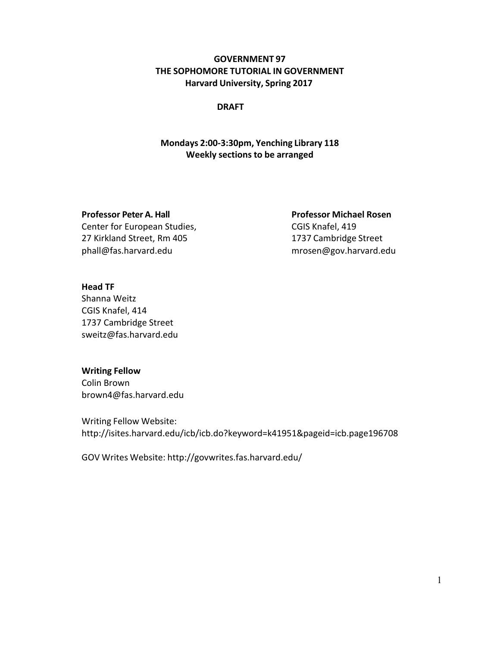## **GOVERNMENT 97 THE SOPHOMORE TUTORIAL IN GOVERNMENT Harvard University, Spring 2017**

#### **DRAFT**

## **Mondays 2:00-3:30pm, Yenching Library 118 Weekly sections to be arranged**

Center for European Studies, Center for European Studies, 27 Kirkland Street, Rm 405 1737 Cambridge Street phall@fas.harvard.edu mrosen@gov.harvard.edu

**Professor Peter A. Hall Professor Michael Rosen**

#### **Head TF**

Shanna Weitz CGIS Knafel, 414 1737 Cambridge Street sweitz@fas.harvard.edu

#### **Writing Fellow**

Colin Brown brown4@fas.harvard.edu

Writing Fellow Website: http://isites.harvard.edu/icb/icb.do?keyword=k41951&pageid=icb.page196708

GOV Writes Website: http://govwrites.fas.harvard.edu/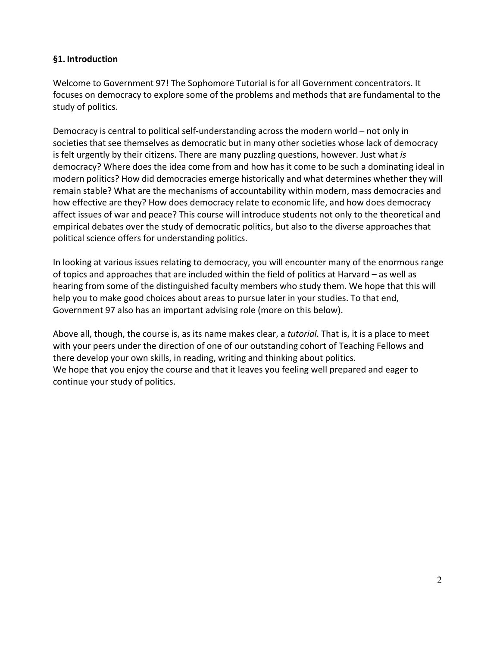### **§1. Introduction**

Welcome to Government 97! The Sophomore Tutorial is for all Government concentrators. It focuses on democracy to explore some of the problems and methods that are fundamental to the study of politics.

Democracy is central to political self-understanding across the modern world – not only in societies that see themselves as democratic but in many other societies whose lack of democracy is felt urgently by their citizens. There are many puzzling questions, however. Just what *is*  democracy? Where does the idea come from and how has it come to be such a dominating ideal in modern politics? How did democracies emerge historically and what determines whether they will remain stable? What are the mechanisms of accountability within modern, mass democracies and how effective are they? How does democracy relate to economic life, and how does democracy affect issues of war and peace? This course will introduce students not only to the theoretical and empirical debates over the study of democratic politics, but also to the diverse approaches that political science offers for understanding politics.

In looking at various issues relating to democracy, you will encounter many of the enormous range of topics and approaches that are included within the field of politics at Harvard – as well as hearing from some of the distinguished faculty members who study them. We hope that this will help you to make good choices about areas to pursue later in your studies. To that end, Government 97 also has an important advising role (more on this below).

Above all, though, the course is, as its name makes clear, a *tutorial*. That is, it is a place to meet with your peers under the direction of one of our outstanding cohort of Teaching Fellows and there develop your own skills, in reading, writing and thinking about politics. We hope that you enjoy the course and that it leaves you feeling well prepared and eager to continue your study of politics.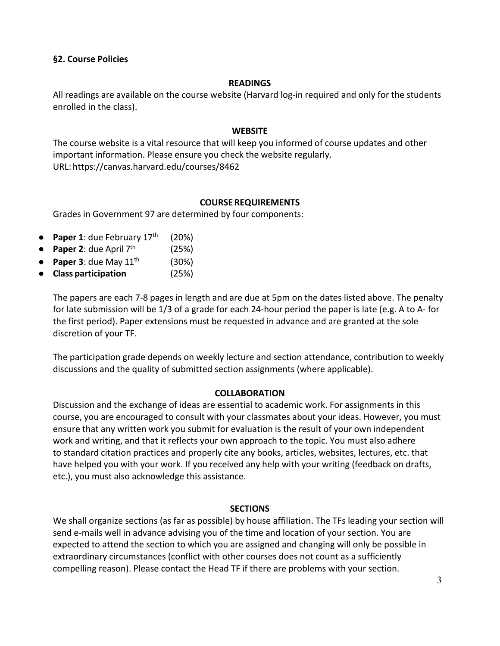### **§2. Course Policies**

#### **READINGS**

All readings are available on the course website (Harvard log-in required and only for the students enrolled in the class).

#### **WEBSITE**

The course website is a vital resource that will keep you informed of course updates and other important information. Please ensure you check the website regularly. URL: https://canvas.harvard.edu/courses/8462

### **COURSEREQUIREMENTS**

Grades in Government 97 are determined by four components:

- **Paper 1**: due February 17th (20%)
- **• Paper 2**: due April  $7<sup>th</sup>$  (25%)
- **Paper 3**: due May  $11<sup>th</sup>$  (30%)
- **Class participation** (25%)

The papers are each 7-8 pages in length and are due at 5pm on the dates listed above. The penalty for late submission will be 1/3 of a grade for each 24-hour period the paper is late (e.g. A to A- for the first period). Paper extensions must be requested in advance and are granted at the sole discretion of your TF.

The participation grade depends on weekly lecture and section attendance, contribution to weekly discussions and the quality of submitted section assignments (where applicable).

### **COLLABORATION**

Discussion and the exchange of ideas are essential to academic work. For assignments in this course, you are encouraged to consult with your classmates about your ideas. However, you must ensure that any written work you submit for evaluation is the result of your own independent work and writing, and that it reflects your own approach to the topic. You must also adhere to standard citation practices and properly cite any books, articles, websites, lectures, etc. that have helped you with your work. If you received any help with your writing (feedback on drafts, etc.), you must also acknowledge this assistance.

### **SECTIONS**

We shall organize sections (as far as possible) by house affiliation. The TFs leading your section will send e-mails well in advance advising you of the time and location of your section. You are expected to attend the section to which you are assigned and changing will only be possible in extraordinary circumstances (conflict with other courses does not count as a sufficiently compelling reason). Please contact the Head TF if there are problems with your section.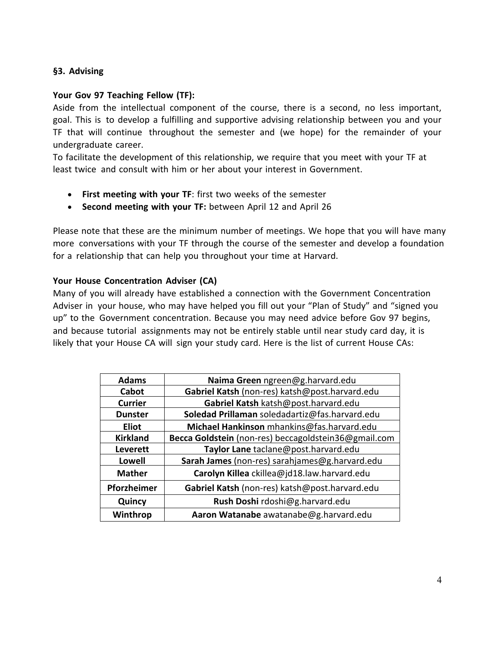## **§3. Advising**

## **Your Gov 97 Teaching Fellow (TF):**

Aside from the intellectual component of the course, there is a second, no less important, goal. This is to develop a fulfilling and supportive advising relationship between you and your TF that will continue throughout the semester and (we hope) for the remainder of your undergraduate career.

To facilitate the development of this relationship, we require that you meet with your TF at least twice and consult with him or her about your interest in Government.

- **First meeting with your TF**: first two weeks of the semester
- **Second meeting with your TF:** between April 12 and April 26

Please note that these are the minimum number of meetings. We hope that you will have many more conversations with your TF through the course of the semester and develop a foundation for a relationship that can help you throughout your time at Harvard.

## **Your House Concentration Adviser (CA)**

Many of you will already have established a connection with the Government Concentration Adviser in your house, who may have helped you fill out your "Plan of Study" and "signed you up" to the Government concentration. Because you may need advice before Gov 97 begins, and because tutorial assignments may not be entirely stable until near study card day, it is likely that your House CA will sign your study card. Here is the list of current House CAs:

| <b>Adams</b>    | Naima Green ngreen@g.harvard.edu                     |
|-----------------|------------------------------------------------------|
| Cabot           | Gabriel Katsh (non-res) katsh@post.harvard.edu       |
| <b>Currier</b>  | Gabriel Katsh katsh@post.harvard.edu                 |
| <b>Dunster</b>  | Soledad Prillaman soledadartiz@fas.harvard.edu       |
| <b>Eliot</b>    | Michael Hankinson mhankins@fas.harvard.edu           |
| <b>Kirkland</b> | Becca Goldstein (non-res) beccagoldstein36@gmail.com |
| <b>Leverett</b> | Taylor Lane taclane@post.harvard.edu                 |
| <b>Lowell</b>   | Sarah James (non-res) sarahjames@g.harvard.edu       |
| <b>Mather</b>   | Carolyn Killea ckillea@jd18.law.harvard.edu          |
| Pforzheimer     | Gabriel Katsh (non-res) katsh@post.harvard.edu       |
| Quincy          | Rush Doshi rdoshi@g.harvard.edu                      |
| Winthrop        | Aaron Watanabe awatanabe@g.harvard.edu               |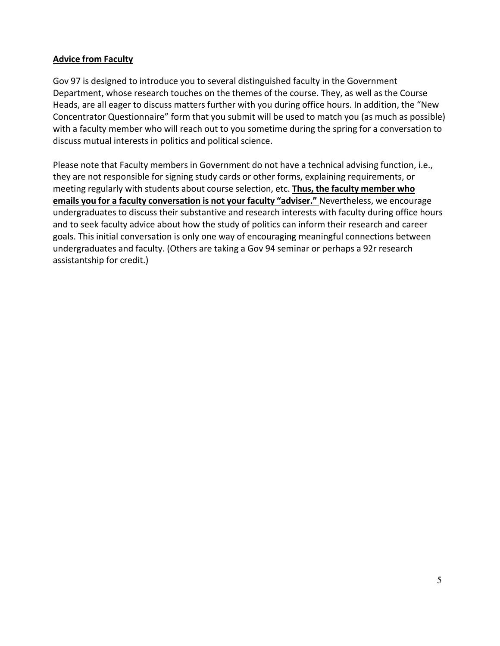### **Advice from Faculty**

Gov 97 is designed to introduce you to several distinguished faculty in the Government Department, whose research touches on the themes of the course. They, as well as the Course Heads, are all eager to discuss matters further with you during office hours. In addition, the "New Concentrator Questionnaire" form that you submit will be used to match you (as much as possible) with a faculty member who will reach out to you sometime during the spring for a conversation to discuss mutual interests in politics and political science.

Please note that Faculty members in Government do not have a technical advising function, i.e., they are not responsible for signing study cards or other forms, explaining requirements, or meeting regularly with students about course selection, etc. **Thus, the faculty member who emails you for a faculty conversation is not your faculty "adviser."** Nevertheless, we encourage undergraduates to discuss their substantive and research interests with faculty during office hours and to seek faculty advice about how the study of politics can inform their research and career goals. This initial conversation is only one way of encouraging meaningful connections between undergraduates and faculty. (Others are taking a Gov 94 seminar or perhaps a 92r research assistantship for credit.)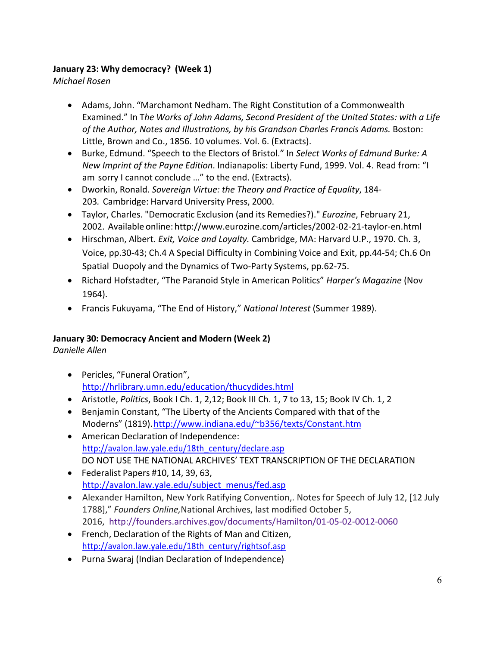## **January 23: Why democracy? (Week 1)**

*Michael Rosen*

- Adams, John. "Marchamont Nedham. The Right Constitution of a Commonwealth Examined." In T*he Works of John Adams, Second President of the United States: with a Life of the Author, Notes and Illustrations, by his Grandson Charles Francis Adams.* Boston: Little, Brown and Co., 1856. 10 volumes. Vol. 6. (Extracts).
- Burke, Edmund. "Speech to the Electors of Bristol." In *Select Works of Edmund Burke: A New Imprint of the Payne Edition*. Indianapolis: Liberty Fund, 1999. Vol. 4. Read from: "I am sorry I cannot conclude …" to the end. (Extracts).
- Dworkin, Ronald. *Sovereign Virtue: the Theory and Practice of Equality*, 184- 203*.* Cambridge: Harvard University Press, 2000.
- Taylor, Charles. "Democratic Exclusion (and its Remedies?)." *Eurozine*, February 21, 2002. Available online: http://www.eurozine.com/articles/2002-02-21-taylor-en.html
- Hirschman, Albert. *Exit, Voice and Loyalty.* Cambridge, MA: Harvard U.P., 1970. Ch. 3, Voice, pp.30-43; Ch.4 A Special Difficulty in Combining Voice and Exit, pp.44-54; Ch.6 On Spatial Duopoly and the Dynamics of Two-Party Systems, pp.62-75.
- Richard Hofstadter, "The Paranoid Style in American Politics" *Harper's Magazine* (Nov 1964).
- Francis Fukuyama, "The End of History," *National Interest* (Summer 1989).

## **January 30: Democracy Ancient and Modern (Week 2)**

*Danielle Allen*

- Pericles, "Funeral Oration", http://hrlibrary.umn.edu/education/thucydides.html
- Aristotle, *Politics*, Book I Ch. 1, 2,12; Book III Ch. 1, 7 to 13, 15; Book IV Ch. 1, 2
- Benjamin Constant, "The Liberty of the Ancients Compared with that of the Moderns" (1819).http://www.indiana.edu/~b356/texts/Constant.htm
- American Declaration of Independence: http://avalon.law.yale.edu/18th\_century/declare.asp DO NOT USE THE NATIONAL ARCHIVES' TEXT TRANSCRIPTION OF THE DECLARATION
- Federalist Papers #10, 14, 39, 63, http://avalon.law.yale.edu/subject\_menus/fed.asp
- Alexander Hamilton, New York Ratifying Convention,. Notes for Speech of July 12, [12 July 1788]," *Founders Online,*National Archives, last modified October 5, 2016, http://founders.archives.gov/documents/Hamilton/01-05-02-0012-0060
- French, Declaration of the Rights of Man and Citizen, http://avalon.law.yale.edu/18th\_century/rightsof.asp
- Purna Swaraj (Indian Declaration of Independence)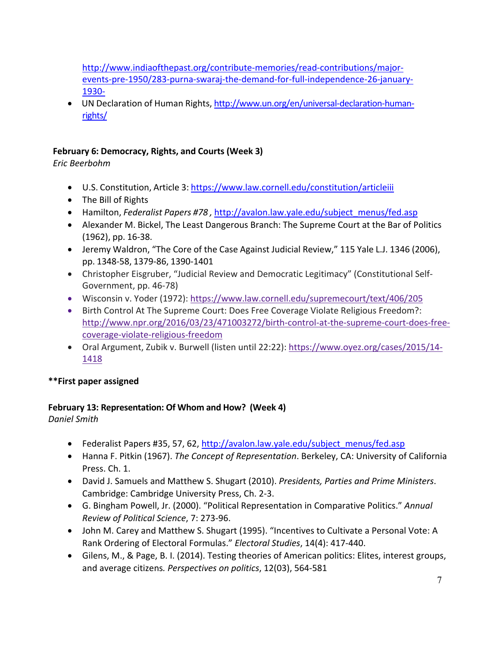http://www.indiaofthepast.org/contribute-memories/read-contributions/majorevents-pre-1950/283-purna-swaraj-the-demand-for-full-independence-26-january-1930-

• UN Declaration of Human Rights, http://www.un.org/en/universal-declaration-humanrights/

## **February 6: Democracy, Rights, and Courts (Week 3)**

*Eric Beerbohm* 

- U.S. Constitution, Article 3: https://www.law.cornell.edu/constitution/articleiii
- The Bill of Rights
- Hamilton, *Federalist Papers #78 ,* http://avalon.law.yale.edu/subject\_menus/fed.asp
- Alexander M. Bickel, The Least Dangerous Branch: The Supreme Court at the Bar of Politics (1962), pp. 16-38.
- Jeremy Waldron, "The Core of the Case Against Judicial Review," 115 Yale L.J. 1346 (2006), pp. 1348-58, 1379-86, 1390-1401
- Christopher Eisgruber, "Judicial Review and Democratic Legitimacy" (Constitutional Self-Government, pp. 46-78)
- Wisconsin v. Yoder (1972): https://www.law.cornell.edu/supremecourt/text/406/205
- Birth Control At The Supreme Court: Does Free Coverage Violate Religious Freedom?: http://www.npr.org/2016/03/23/471003272/birth-control-at-the-supreme-court-does-freecoverage-violate-religious-freedom
- Oral Argument, Zubik v. Burwell (listen until 22:22): https://www.oyez.org/cases/2015/14- 1418

## **\*\*First paper assigned**

## **February 13: Representation: Of Whom and How? (Week 4)**

*Daniel Smith* 

- Federalist Papers #35, 57, 62, http://avalon.law.yale.edu/subject\_menus/fed.asp
- Hanna F. Pitkin (1967). *The Concept of Representation*. Berkeley, CA: University of California Press. Ch. 1.
- David J. Samuels and Matthew S. Shugart (2010). *Presidents, Parties and Prime Ministers*. Cambridge: Cambridge University Press, Ch. 2-3.
- G. Bingham Powell, Jr. (2000). "Political Representation in Comparative Politics." *Annual Review of Political Science*, 7: 273-96.
- John M. Carey and Matthew S. Shugart (1995). "Incentives to Cultivate a Personal Vote: A Rank Ordering of Electoral Formulas." *Electoral Studies*, 14(4): 417-440.
- Gilens, M., & Page, B. I. (2014). Testing theories of American politics: Elites, interest groups, and average citizens*. Perspectives on politics*, 12(03), 564-581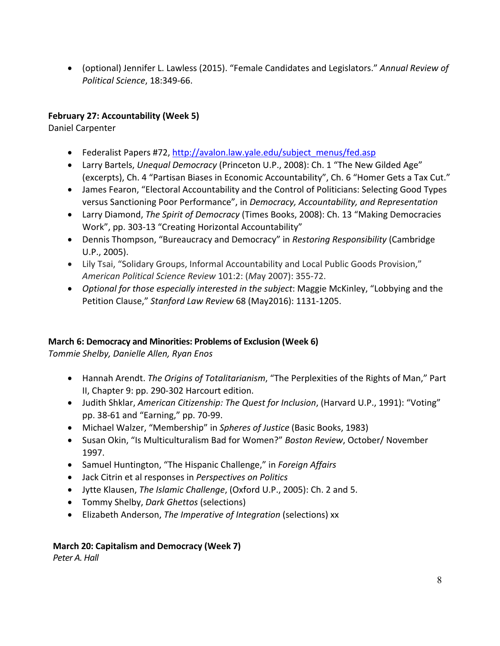• (optional) Jennifer L. Lawless (2015). "Female Candidates and Legislators." *Annual Review of Political Science*, 18:349-66.

## **February 27: Accountability (Week 5)**

Daniel Carpenter

- Federalist Papers #72, http://avalon.law.yale.edu/subject\_menus/fed.asp
- Larry Bartels, *Unequal Democracy* (Princeton U.P., 2008): Ch. 1 "The New Gilded Age" (excerpts), Ch. 4 "Partisan Biases in Economic Accountability", Ch. 6 "Homer Gets a Tax Cut."
- James Fearon, "Electoral Accountability and the Control of Politicians: Selecting Good Types versus Sanctioning Poor Performance", in *Democracy, Accountability, and Representation*
- Larry Diamond, *The Spirit of Democracy* (Times Books, 2008): Ch. 13 "Making Democracies Work", pp. 303-13 "Creating Horizontal Accountability"
- Dennis Thompson, "Bureaucracy and Democracy" in *Restoring Responsibility* (Cambridge U.P., 2005).
- Lily Tsai, "Solidary Groups, Informal Accountability and Local Public Goods Provision," *American Political Science Review* 101:2: (*M*ay 2007): 355-72.
- *Optional for those especially interested in the subject*: Maggie McKinley, "Lobbying and the Petition Clause," *Stanford Law Review* 68 (May2016): 1131-1205.

## **March 6: Democracy and Minorities: Problems of Exclusion (Week 6)**

*Tommie Shelby, Danielle Allen, Ryan Enos*

- Hannah Arendt. *The Origins of Totalitarianism*, "The Perplexities of the Rights of Man," Part II, Chapter 9: pp. 290-302 Harcourt edition.
- Judith Shklar, *American Citizenship: The Quest for Inclusion*, (Harvard U.P., 1991): "Voting" pp. 38-61 and "Earning," pp. 70-99.
- Michael Walzer, "Membership" in *Spheres of Justice* (Basic Books, 1983)
- Susan Okin, "Is Multiculturalism Bad for Women?" *Boston Review*, October/ November 1997.
- Samuel Huntington, "The Hispanic Challenge," in *Foreign Affairs*
- Jack Citrin et al responses in *Perspectives on Politics*
- Jytte Klausen, *The Islamic Challenge*, (Oxford U.P., 2005): Ch. 2 and 5.
- Tommy Shelby, *Dark Ghettos* (selections)
- Elizabeth Anderson, *The Imperative of Integration* (selections) xx

## **March 20: Capitalism and Democracy (Week 7)**

*Peter A. Hall*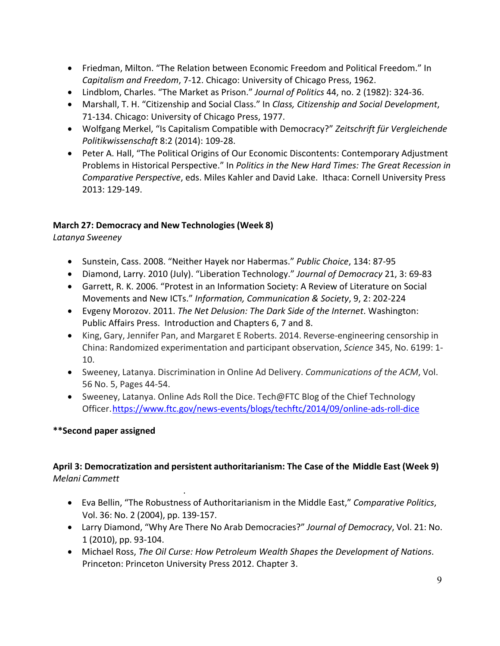- Friedman, Milton. "The Relation between Economic Freedom and Political Freedom." In *Capitalism and Freedom*, 7-12. Chicago: University of Chicago Press, 1962.
- Lindblom, Charles. "The Market as Prison." *Journal of Politics* 44, no. 2 (1982): 324-36.
- Marshall, T. H. "Citizenship and Social Class." In *Class, Citizenship and Social Development*, 71-134. Chicago: University of Chicago Press, 1977.
- Wolfgang Merkel, "Is Capitalism Compatible with Democracy?" *Zeitschrift für Vergleichende Politikwissenschaft* 8:2 (2014): 109-28.
- Peter A. Hall, "The Political Origins of Our Economic Discontents: Contemporary Adjustment Problems in Historical Perspective." In *Politics in the New Hard Times: The Great Recession in Comparative Perspective*, eds. Miles Kahler and David Lake. Ithaca: Cornell University Press 2013: 129-149.

## **March 27: Democracy and New Technologies (Week 8)**

*Latanya Sweeney*

- Sunstein, Cass. 2008. "Neither Hayek nor Habermas." *Public Choice*, 134: 87-95
- Diamond, Larry. 2010 (July). "Liberation Technology." *Journal of Democracy* 21, 3: 69-83
- Garrett, R. K. 2006. "Protest in an Information Society: A Review of Literature on Social Movements and New ICTs." *Information, Communication & Society*, 9, 2: 202-224
- Evgeny Morozov. 2011. *The Net Delusion: The Dark Side of the Internet*. Washington: Public Affairs Press. Introduction and Chapters 6, 7 and 8.
- King, Gary, Jennifer Pan, and Margaret E Roberts. 2014. Reverse-engineering censorship in China: Randomized experimentation and participant observation, *Science* 345, No. 6199: 1- 10.
- Sweeney, Latanya. Discrimination in Online Ad Delivery. *Communications of the ACM*, Vol. 56 No. 5, Pages 44-54.
- Sweeney, Latanya. Online Ads Roll the Dice. Tech@FTC Blog of the Chief Technology Officer.https://www.ftc.gov/news-events/blogs/techftc/2014/09/online-ads-roll-dice

## **\*\*Second paper assigned**

## **April 3: Democratization and persistent authoritarianism: The Case of the Middle East (Week 9)** *Melani Cammett*

.

- Eva Bellin, "The Robustness of Authoritarianism in the Middle East," *Comparative Politics*, Vol. 36: No. 2 (2004), pp. 139-157.
- Larry Diamond, "Why Are There No Arab Democracies?" *Journal of Democracy*, Vol. 21: No. 1 (2010), pp. 93-104.
- Michael Ross, *The Oil Curse: How Petroleum Wealth Shapes the Development of Nations*. Princeton: Princeton University Press 2012. Chapter 3.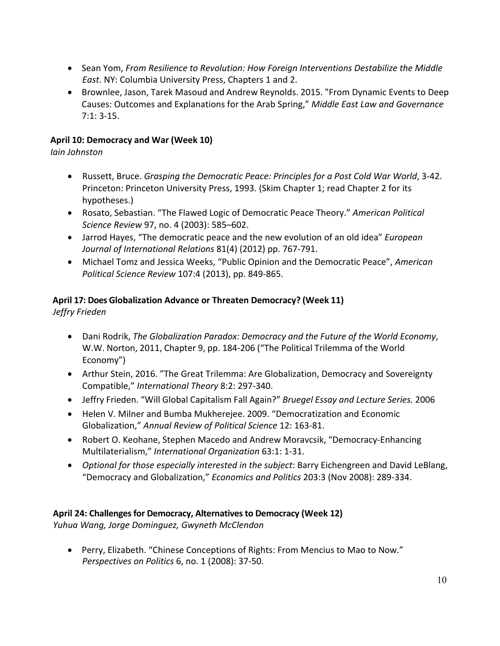- Sean Yom, *From Resilience to Revolution: How Foreign Interventions Destabilize the Middle East*. NY: Columbia University Press, Chapters 1 and 2.
- Brownlee, Jason, Tarek Masoud and Andrew Reynolds. 2015. "From Dynamic Events to Deep Causes: Outcomes and Explanations for the Arab Spring," *Middle East Law and Governance* 7:1: 3-15.

## **April 10: Democracy and War (Week 10)**

*Iain Johnston*

- Russett, Bruce. *Grasping the Democratic Peace: Principles for a Post Cold War World*, 3-42. Princeton: Princeton University Press, 1993. (Skim Chapter 1; read Chapter 2 for its hypotheses.)
- Rosato, Sebastian. "The Flawed Logic of Democratic Peace Theory." *American Political Science Review* 97, no. 4 (2003): 585–602.
- Jarrod Hayes, "The democratic peace and the new evolution of an old idea" *European Journal of International Relations* 81(4) (2012) pp. 767-791.
- Michael Tomz and Jessica Weeks, "Public Opinion and the Democratic Peace", *American Political Science Review* 107:4 (2013), pp. 849-865.

# **April 17: Does Globalization Advance or Threaten Democracy? (Week 11)**

*Jeffry Frieden* 

- Dani Rodrik, *The Globalization Paradox: Democracy and the Future of the World Economy*, W.W. Norton, 2011, Chapter 9, pp. 184-206 ("The Political Trilemma of the World Economy")
- Arthur Stein, 2016. "The Great Trilemma: Are Globalization, Democracy and Sovereignty Compatible," *International Theory* 8:2: 297-340.
- Jeffry Frieden. "Will Global Capitalism Fall Again?" *Bruegel Essay and Lecture Series.* 2006
- Helen V. Milner and Bumba Mukherejee. 2009. "Democratization and Economic Globalization," *Annual Review of Political Science* 12: 163-81.
- Robert O. Keohane, Stephen Macedo and Andrew Moravcsik, "Democracy-Enhancing Multilaterialism," *International Organization* 63:1: 1-31.
- *Optional for those especially interested in the subject*: Barry Eichengreen and David LeBlang, "Democracy and Globalization," *Economics and Politics* 203:3 (Nov 2008): 289-334.

## **April 24: Challenges for Democracy, Alternatives to Democracy (Week 12)**

*Yuhua Wang, Jorge Dominguez, Gwyneth McClendon* 

• Perry, Elizabeth. "Chinese Conceptions of Rights: From Mencius to Mao to Now." *Perspectives on Politics* 6, no. 1 (2008): 37-50.